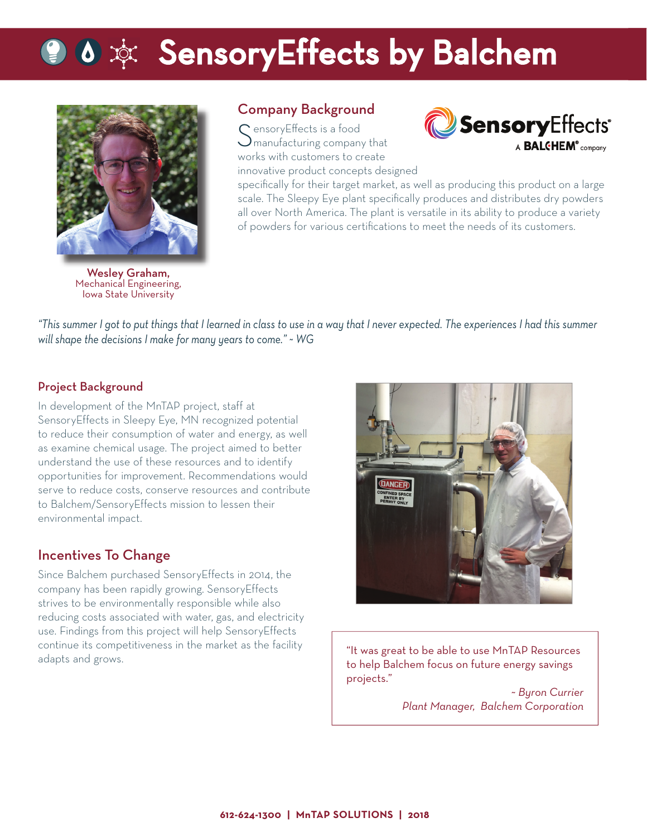# **O & Exters SensoryEffects by Balchem**



Company Background

 $\mathsf C$  ensory Effects is a food **)** manufacturing company that works with customers to create innovative product concepts designed



specifically for their target market, as well as producing this product on a large scale. The Sleepy Eye plant specifically produces and distributes dry powders all over North America. The plant is versatile in its ability to produce a variety of powders for various certifications to meet the needs of its customers.

Wesley Graham, Mechanical Engineering, Iowa State University

*"This summer I got to put things that I learned in class to use in a way that I never expected. The experiences I had this summer will shape the decisions I make for many years to come." ~ WG*

#### Project Background

In development of the MnTAP project, staff at SensoryEffects in Sleepy Eye, MN recognized potential to reduce their consumption of water and energy, as well as examine chemical usage. The project aimed to better understand the use of these resources and to identify opportunities for improvement. Recommendations would serve to reduce costs, conserve resources and contribute to Balchem/SensoryEffects mission to lessen their environmental impact.

### Incentives To Change

Since Balchem purchased SensoryEffects in 2014, the company has been rapidly growing. SensoryEffects strives to be environmentally responsible while also reducing costs associated with water, gas, and electricity use. Findings from this project will help SensoryEffects continue its competitiveness in the market as the facility adapts and grows.



"It was great to be able to use MnTAP Resources to help Balchem focus on future energy savings projects."

*~ Byron Currier Plant Manager, Balchem Corporation*